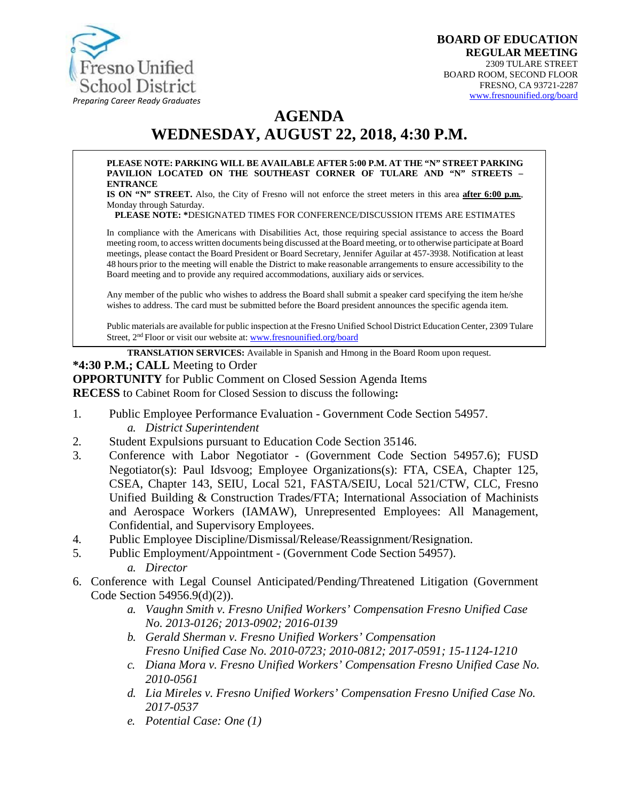

## **AGENDA WEDNESDAY, AUGUST 22, 2018, 4:30 P.M.**

#### **PLEASE NOTE: PARKING WILL BE AVAILABLE AFTER 5:00 P.M. AT THE "N" STREET PARKING PAVILION LOCATED ON THE SOUTHEAST CORNER OF TULARE AND "N" STREETS – ENTRANCE**

**IS ON "N" STREET.** Also, the City of Fresno will not enforce the street meters in this area **after 6:00 p.m.**, Monday through Saturday.

**PLEASE NOTE: \***DESIGNATED TIMES FOR CONFERENCE/DISCUSSION ITEMS ARE ESTIMATES

In compliance with the Americans with Disabilities Act, those requiring special assistance to access the Board meeting room, to access written documents being discussed at the Board meeting, or to otherwise participate at Board meetings, please contact the Board President or Board Secretary, Jennifer Aguilar at 457-3938. Notification at least 48 hours prior to the meeting will enable the District to make reasonable arrangements to ensure accessibility to the Board meeting and to provide any required accommodations, auxiliary aids orservices.

Any member of the public who wishes to address the Board shall submit a speaker card specifying the item he/she wishes to address. The card must be submitted before the Board president announces the specific agenda item.

Public materials are available for public inspection at the Fresno Unified School District Education Center, 2309 Tulare Street, 2<sup>nd</sup> Floor or visit our website at: [www.fresnounified.org/board](http://www.fresnounified.org/board)

**TRANSLATION SERVICES:** Available in Spanish and Hmong in the Board Room upon request.

#### **\*4:30 P.M.; CALL** Meeting to Order

**OPPORTUNITY** for Public Comment on Closed Session Agenda Items

**RECESS** to Cabinet Room for Closed Session to discuss the following**:**

- 1. Public Employee Performance Evaluation Government Code Section 54957. *a. District Superintendent*
- 2. Student Expulsions pursuant to Education Code Section 35146.
- 3. Conference with Labor Negotiator (Government Code Section 54957.6); FUSD Negotiator(s): Paul Idsvoog; Employee Organizations(s): FTA, CSEA, Chapter 125, CSEA, Chapter 143, SEIU, Local 521, FASTA/SEIU, Local 521/CTW, CLC, Fresno Unified Building & Construction Trades/FTA; International Association of Machinists and Aerospace Workers (IAMAW), Unrepresented Employees: All Management, Confidential, and Supervisory Employees.
- 4. Public Employee Discipline/Dismissal/Release/Reassignment/Resignation.
- 5. Public Employment/Appointment (Government Code Section 54957). *a. Director*
- 6. Conference with Legal Counsel Anticipated/Pending/Threatened Litigation (Government Code Section 54956.9(d)(2)).
	- *a. Vaughn Smith v. Fresno Unified Workers' Compensation Fresno Unified Case No. 2013-0126; 2013-0902; 2016-0139*
	- *b. Gerald Sherman v. Fresno Unified Workers' Compensation Fresno Unified Case No. 2010-0723; 2010-0812; 2017-0591; 15-1124-1210*
	- *c. Diana Mora v. Fresno Unified Workers' Compensation Fresno Unified Case No. 2010-0561*
	- *d. Lia Mireles v. Fresno Unified Workers' Compensation Fresno Unified Case No. 2017-0537*
	- *e. Potential Case: One (1)*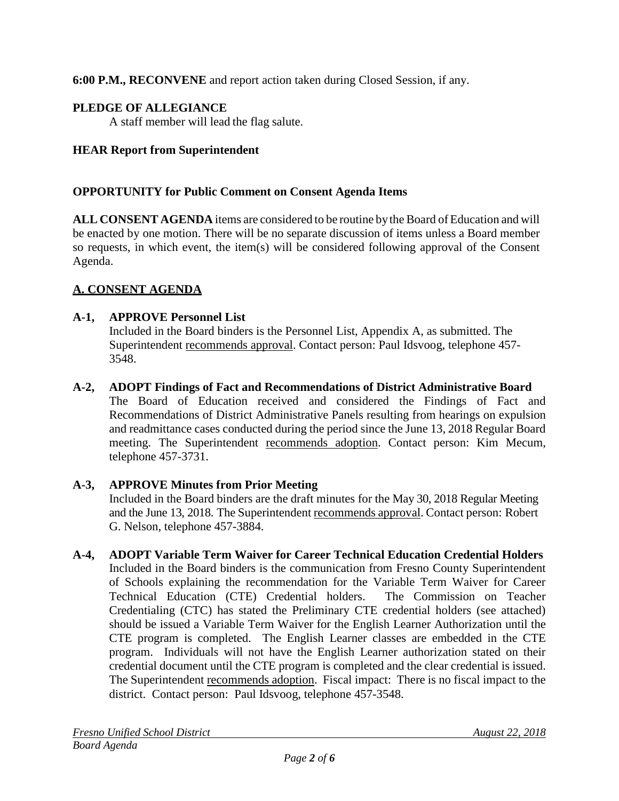**6:00 P.M., RECONVENE** and report action taken during Closed Session, if any.

## **PLEDGE OF ALLEGIANCE**

A staff member will lead the flag salute.

## **HEAR Report from Superintendent**

#### **OPPORTUNITY for Public Comment on Consent Agenda Items**

**ALL CONSENT AGENDA** items are considered to be routine bythe Board of Education and will be enacted by one motion. There will be no separate discussion of items unless a Board member so requests, in which event, the item(s) will be considered following approval of the Consent Agenda.

### **A. CONSENT AGENDA**

#### **A-1, APPROVE Personnel List**

Included in the Board binders is the Personnel List, Appendix A, as submitted. The Superintendent recommends approval. Contact person: Paul Idsvoog, telephone 457- 3548.

#### **A-2, ADOPT Findings of Fact and Recommendations of District Administrative Board**

The Board of Education received and considered the Findings of Fact and Recommendations of District Administrative Panels resulting from hearings on expulsion and readmittance cases conducted during the period since the June 13, 2018 Regular Board meeting. The Superintendent recommends adoption. Contact person: Kim Mecum, telephone 457-3731.

#### **A-3, APPROVE Minutes from Prior Meeting**

Included in the Board binders are the draft minutes for the May 30, 2018 Regular Meeting and the June 13, 2018. The Superintendent recommends approval. Contact person: Robert G. Nelson, telephone 457-3884.

# **A-4, ADOPT Variable Term Waiver for Career Technical Education Credential Holders**

Included in the Board binders is the communication from Fresno County Superintendent of Schools explaining the recommendation for the Variable Term Waiver for Career Technical Education (CTE) Credential holders. The Commission on Teacher Credentialing (CTC) has stated the Preliminary CTE credential holders (see attached) should be issued a Variable Term Waiver for the English Learner Authorization until the CTE program is completed. The English Learner classes are embedded in the CTE program. Individuals will not have the English Learner authorization stated on their credential document until the CTE program is completed and the clear credential is issued. The Superintendent recommends adoption. Fiscal impact: There is no fiscal impact to the district. Contact person: Paul Idsvoog, telephone 457-3548.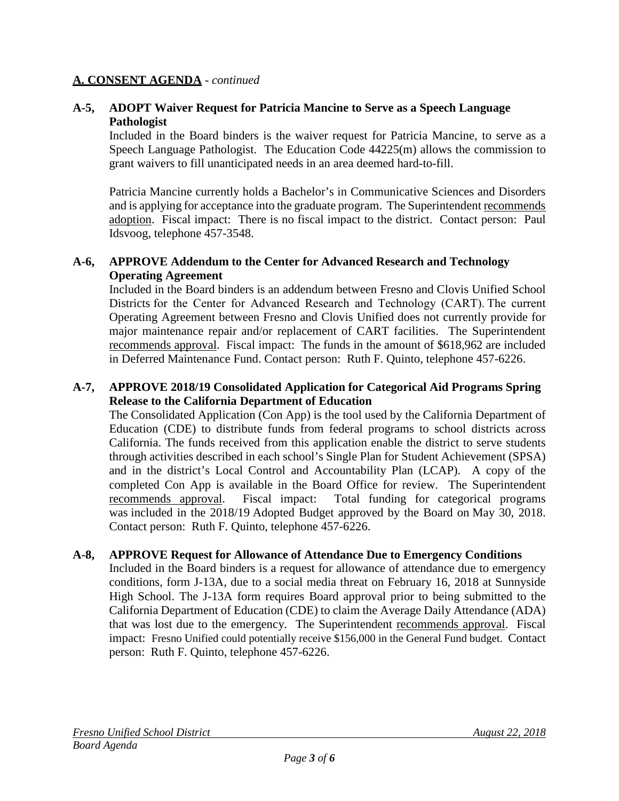#### **A. CONSENT AGENDA** - *continued*

#### **A-5, ADOPT Waiver Request for Patricia Mancine to Serve as a Speech Language Pathologist**

Included in the Board binders is the waiver request for Patricia Mancine, to serve as a Speech Language Pathologist. The Education Code 44225(m) allows the commission to grant waivers to fill unanticipated needs in an area deemed hard-to-fill.

Patricia Mancine currently holds a Bachelor's in Communicative Sciences and Disorders and is applying for acceptance into the graduate program. The Superintendent recommends adoption. Fiscal impact: There is no fiscal impact to the district. Contact person: Paul Idsvoog, telephone 457-3548.

#### **A-6, APPROVE Addendum to the Center for Advanced Research and Technology Operating Agreement**

Included in the Board binders is an addendum between Fresno and Clovis Unified School Districts for the Center for Advanced Research and Technology (CART). The current Operating Agreement between Fresno and Clovis Unified does not currently provide for major maintenance repair and/or replacement of CART facilities. The Superintendent recommends approval. Fiscal impact: The funds in the amount of \$618,962 are included in Deferred Maintenance Fund. Contact person: Ruth F. Quinto, telephone 457-6226.

#### **A-7, APPROVE 2018/19 Consolidated Application for Categorical Aid Programs Spring Release to the California Department of Education**

The Consolidated Application (Con App) is the tool used by the California Department of Education (CDE) to distribute funds from federal programs to school districts across California. The funds received from this application enable the district to serve students through activities described in each school's Single Plan for Student Achievement (SPSA) and in the district's Local Control and Accountability Plan (LCAP). A copy of the completed Con App is available in the Board Office for review. The Superintendent recommends approval. Fiscal impact: Total funding for categorical programs was included in the 2018/19 Adopted Budget approved by the Board on May 30, 2018. Contact person: Ruth F. Quinto, telephone 457-6226.

#### **A-8, APPROVE Request for Allowance of Attendance Due to Emergency Conditions**

Included in the Board binders is a request for allowance of attendance due to emergency conditions, form J-13A, due to a social media threat on February 16, 2018 at Sunnyside High School. The J-13A form requires Board approval prior to being submitted to the California Department of Education (CDE) to claim the Average Daily Attendance (ADA) that was lost due to the emergency. The Superintendent recommends approval. Fiscal impact: Fresno Unified could potentially receive \$156,000 in the General Fund budget. Contact person: Ruth F. Quinto, telephone 457-6226.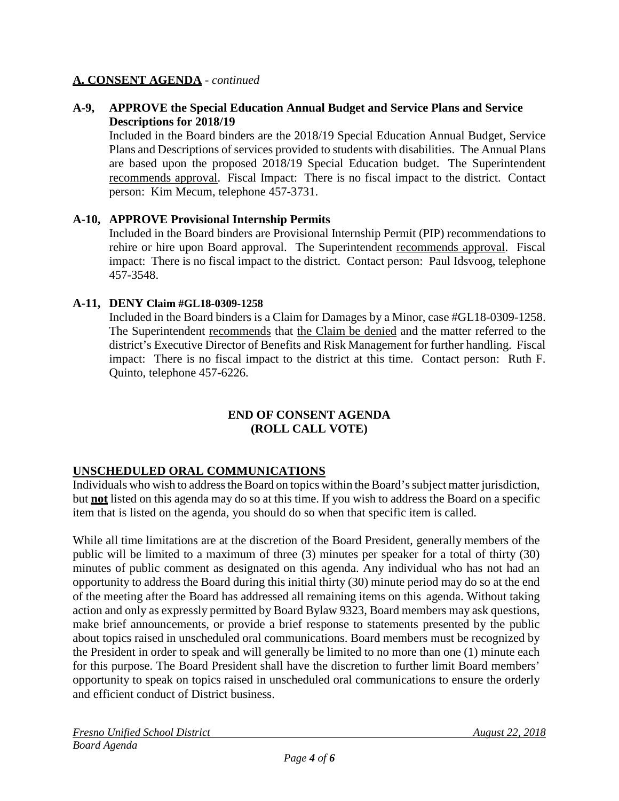#### **A. CONSENT AGENDA** - *continued*

#### **A-9, APPROVE the Special Education Annual Budget and Service Plans and Service Descriptions for 2018/19**

Included in the Board binders are the 2018/19 Special Education Annual Budget, Service Plans and Descriptions of services provided to students with disabilities. The Annual Plans are based upon the proposed 2018/19 Special Education budget. The Superintendent recommends approval. Fiscal Impact: There is no fiscal impact to the district. Contact person: Kim Mecum, telephone 457-3731.

#### **A-10, APPROVE Provisional Internship Permits**

Included in the Board binders are Provisional Internship Permit (PIP) recommendations to rehire or hire upon Board approval. The Superintendent recommends approval. Fiscal impact: There is no fiscal impact to the district. Contact person: Paul Idsvoog, telephone 457-3548.

#### **A-11, DENY Claim #GL18-0309-1258**

Included in the Board binders is a Claim for Damages by a Minor, case #GL18-0309-1258. The Superintendent recommends that the Claim be denied and the matter referred to the district's Executive Director of Benefits and Risk Management for further handling. Fiscal impact: There is no fiscal impact to the district at this time. Contact person: Ruth F. Quinto, telephone 457-6226.

#### **END OF CONSENT AGENDA (ROLL CALL VOTE)**

### **UNSCHEDULED ORAL COMMUNICATIONS**

Individuals who wish to address the Board on topics within the Board's subject matter jurisdiction, but **not** listed on this agenda may do so at this time. If you wish to address the Board on a specific item that is listed on the agenda, you should do so when that specific item is called.

While all time limitations are at the discretion of the Board President, generally members of the public will be limited to a maximum of three (3) minutes per speaker for a total of thirty (30) minutes of public comment as designated on this agenda. Any individual who has not had an opportunity to address the Board during this initial thirty (30) minute period may do so at the end of the meeting after the Board has addressed all remaining items on this agenda. Without taking action and only as expressly permitted by Board Bylaw 9323, Board members may ask questions, make brief announcements, or provide a brief response to statements presented by the public about topics raised in unscheduled oral communications. Board members must be recognized by the President in order to speak and will generally be limited to no more than one (1) minute each for this purpose. The Board President shall have the discretion to further limit Board members' opportunity to speak on topics raised in unscheduled oral communications to ensure the orderly and efficient conduct of District business.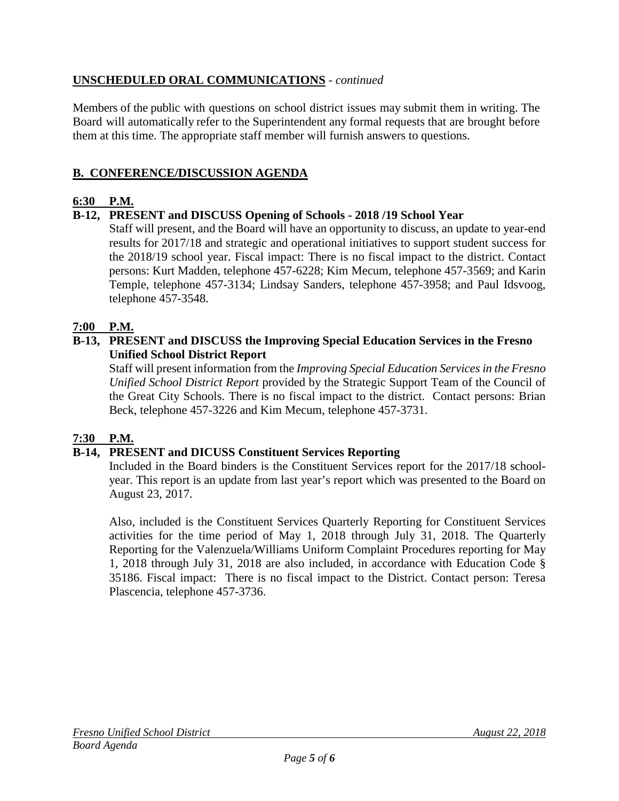## **UNSCHEDULED ORAL COMMUNICATIONS** - *continued*

Members of the public with questions on school district issues may submit them in writing. The Board will automatically refer to the Superintendent any formal requests that are brought before them at this time. The appropriate staff member will furnish answers to questions.

## **B. CONFERENCE/DISCUSSION AGENDA**

## **6:30 P.M.**

## **B-12, PRESENT and DISCUSS Opening of Schools - 2018 /19 School Year**

Staff will present, and the Board will have an opportunity to discuss, an update to year-end results for 2017/18 and strategic and operational initiatives to support student success for the 2018/19 school year. Fiscal impact: There is no fiscal impact to the district. Contact persons: Kurt Madden, telephone 457-6228; Kim Mecum, telephone 457-3569; and Karin Temple, telephone 457-3134; Lindsay Sanders, telephone 457-3958; and Paul Idsvoog, telephone 457-3548.

## **7:00 P.M.**

### **B-13, PRESENT and DISCUSS the Improving Special Education Services in the Fresno Unified School District Report**

Staff will present information from the *Improving Special Education Services in the Fresno Unified School District Report* provided by the Strategic Support Team of the Council of the Great City Schools. There is no fiscal impact to the district. Contact persons: Brian Beck, telephone 457-3226 and Kim Mecum, telephone 457-3731.

### **7:30 P.M.**

### **B-14, PRESENT and DICUSS Constituent Services Reporting**

Included in the Board binders is the Constituent Services report for the 2017/18 schoolyear. This report is an update from last year's report which was presented to the Board on August 23, 2017.

Also, included is the Constituent Services Quarterly Reporting for Constituent Services activities for the time period of May 1, 2018 through July 31, 2018. The Quarterly Reporting for the Valenzuela/Williams Uniform Complaint Procedures reporting for May 1, 2018 through July 31, 2018 are also included, in accordance with Education Code § 35186. Fiscal impact: There is no fiscal impact to the District. Contact person: Teresa Plascencia, telephone 457-3736.